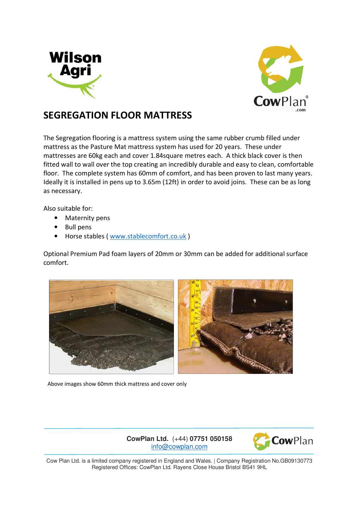



## **SEGREGATION FLOOR MATTRESS**

The Segregation flooring is a mattress system using the same rubber crumb filled under mattress as the Pasture Mat mattress system has used for 20 years. These under mattresses are 60kg each and cover 1.84square metres each. A thick black cover is then fitted wall to wall over the top creating an incredibly durable and easy to clean, comfortable floor. The complete system has 60mm of comfort, and has been proven to last many years. Ideally it is installed in pens up to 3.65m (12ft) in order to avoid joins. These can be as long as necessary.

Also suitable for:

- Maternity pens
- Bull pens
- Horse stables (www.stablecomfort.co.uk)

Optional Premium Pad foam layers of 20mm or 30mm can be added for additional surface comfort.



Above images show 60mm thick mattress and cover only

**CowPlan Ltd.** (+44) **07751 050158** info@cowplan.com



Cow Plan Ltd. is a limited company registered in England and Wales. | Company Registration No.GB09130773 Registered Offices: CowPlan Ltd. Rayens Close House Bristol BS41 9HL